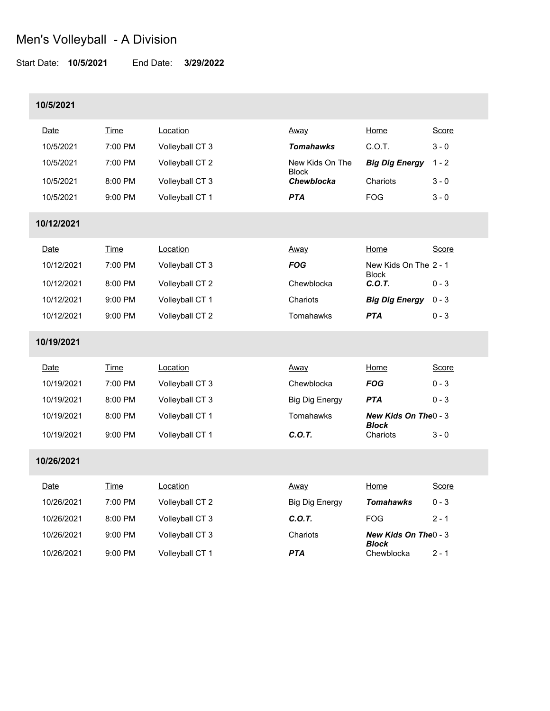Start Date: **10/5/2021** End Date: **3/29/2022**

### **10/5/2021**

| Date       | Time        | Location        | Away                       | Home                                  | Score   |
|------------|-------------|-----------------|----------------------------|---------------------------------------|---------|
| 10/5/2021  | 7:00 PM     | Volleyball CT 3 | <b>Tomahawks</b>           | C.O.T.                                | $3 - 0$ |
| 10/5/2021  | 7:00 PM     | Volleyball CT 2 | New Kids On The            | <b>Big Dig Energy</b>                 | $1 - 2$ |
| 10/5/2021  | 8:00 PM     | Volleyball CT 3 | <b>Block</b><br>Chewblocka | Chariots                              | $3 - 0$ |
| 10/5/2021  | 9:00 PM     | Volleyball CT 1 | <b>PTA</b>                 | <b>FOG</b>                            | $3 - 0$ |
| 10/12/2021 |             |                 |                            |                                       |         |
| Date       | Time        | Location        | Away                       | Home                                  | Score   |
| 10/12/2021 | 7:00 PM     | Volleyball CT 3 | <b>FOG</b>                 | New Kids On The 2 - 1                 |         |
| 10/12/2021 | 8:00 PM     | Volleyball CT 2 | Chewblocka                 | <b>Block</b><br>C.O.T.                | $0 - 3$ |
| 10/12/2021 | 9:00 PM     | Volleyball CT 1 | Chariots                   | <b>Big Dig Energy</b>                 | $0 - 3$ |
| 10/12/2021 | 9:00 PM     | Volleyball CT 2 | Tomahawks                  | <b>PTA</b>                            | $0 - 3$ |
| 10/19/2021 |             |                 |                            |                                       |         |
| Date       | Time        | Location        | Away                       | Home                                  | Score   |
| 10/19/2021 | 7:00 PM     | Volleyball CT 3 | Chewblocka                 | <b>FOG</b>                            | $0 - 3$ |
| 10/19/2021 | 8:00 PM     | Volleyball CT 3 | <b>Big Dig Energy</b>      | <b>PTA</b>                            | $0 - 3$ |
| 10/19/2021 | 8:00 PM     | Volleyball CT 1 | Tomahawks                  | New Kids On The 0 - 3<br><b>Block</b> |         |
| 10/19/2021 | 9:00 PM     | Volleyball CT 1 | C.O.T.                     | Chariots                              | $3 - 0$ |
| 10/26/2021 |             |                 |                            |                                       |         |
| Date       | <b>Time</b> | Location        | Away                       | Home                                  | Score   |
| 10/26/2021 | 7:00 PM     | Volleyball CT 2 | <b>Big Dig Energy</b>      | <b>Tomahawks</b>                      | $0 - 3$ |
| 10/26/2021 | 8:00 PM     | Volleyball CT 3 | C.O.T.                     | <b>FOG</b>                            | $2 - 1$ |
| 10/26/2021 | 9:00 PM     | Volleyball CT 3 | Chariots                   | New Kids On The 0 - 3<br><b>Block</b> |         |
| 10/26/2021 | 9:00 PM     | Volleyball CT 1 | <b>PTA</b>                 | Chewblocka                            | $2 - 1$ |
|            |             |                 |                            |                                       |         |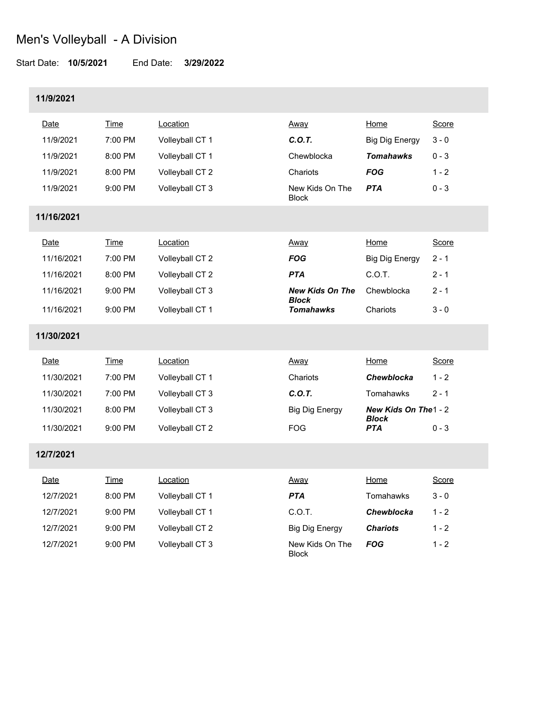#### Start Date: **10/5/2021** End Date: **3/29/2022**

12/7/2021 9:00 PM Volleyball CT 3

### **11/9/2021**

| Date       | Time        | Location        | Away                                   | Home                                 | Score   |
|------------|-------------|-----------------|----------------------------------------|--------------------------------------|---------|
| 11/9/2021  | 7:00 PM     | Volleyball CT 1 | C.O.T.                                 | <b>Big Dig Energy</b>                | $3 - 0$ |
| 11/9/2021  | 8:00 PM     | Volleyball CT 1 | Chewblocka                             | <b>Tomahawks</b>                     | $0 - 3$ |
| 11/9/2021  | 8:00 PM     | Volleyball CT 2 | Chariots                               | <b>FOG</b>                           | $1 - 2$ |
| 11/9/2021  | 9:00 PM     | Volleyball CT 3 | New Kids On The<br><b>Block</b>        | <b>PTA</b>                           | $0 - 3$ |
| 11/16/2021 |             |                 |                                        |                                      |         |
| Date       | <b>Time</b> | Location        | Away                                   | Home                                 | Score   |
| 11/16/2021 | 7:00 PM     | Volleyball CT 2 | <b>FOG</b>                             | <b>Big Dig Energy</b>                | $2 - 1$ |
| 11/16/2021 | 8:00 PM     | Volleyball CT 2 | <b>PTA</b>                             | C.O.T.                               | $2 - 1$ |
| 11/16/2021 | 9:00 PM     | Volleyball CT 3 | <b>New Kids On The</b><br><b>Block</b> | Chewblocka                           | $2 - 1$ |
| 11/16/2021 | 9:00 PM     | Volleyball CT 1 | <b>Tomahawks</b>                       | Chariots                             | $3 - 0$ |
| 11/30/2021 |             |                 |                                        |                                      |         |
| Date       | Time        | Location        | Away                                   | Home                                 | Score   |
| 11/30/2021 | 7:00 PM     | Volleyball CT 1 | Chariots                               | Chewblocka                           | $1 - 2$ |
| 11/30/2021 | 7:00 PM     | Volleyball CT 3 | C.O.T.                                 | Tomahawks                            | $2 - 1$ |
| 11/30/2021 | 8:00 PM     | Volleyball CT 3 | <b>Big Dig Energy</b>                  | New Kids On The1 - 2<br><b>Block</b> |         |
| 11/30/2021 | 9:00 PM     | Volleyball CT 2 | <b>FOG</b>                             | <b>PTA</b>                           | $0 - 3$ |
| 12/7/2021  |             |                 |                                        |                                      |         |
| Date       | <b>Time</b> | Location        | <u>Away</u>                            | Home                                 | Score   |
| 12/7/2021  | 8:00 PM     | Volleyball CT 1 | <b>PTA</b>                             | Tomahawks                            | $3 - 0$ |
| 12/7/2021  | 9:00 PM     | Volleyball CT 1 | C.O.T.                                 | Chewblocka                           | $1 - 2$ |
| 12/7/2021  | 9:00 PM     | Volleyball CT 2 | <b>Big Dig Energy</b>                  | <b>Chariots</b>                      | $1 - 2$ |

| Big Dig Energy                  | <b>Chariots</b> |
|---------------------------------|-----------------|
| New Kids On The<br><b>Block</b> | FOG             |

 $1 - 2$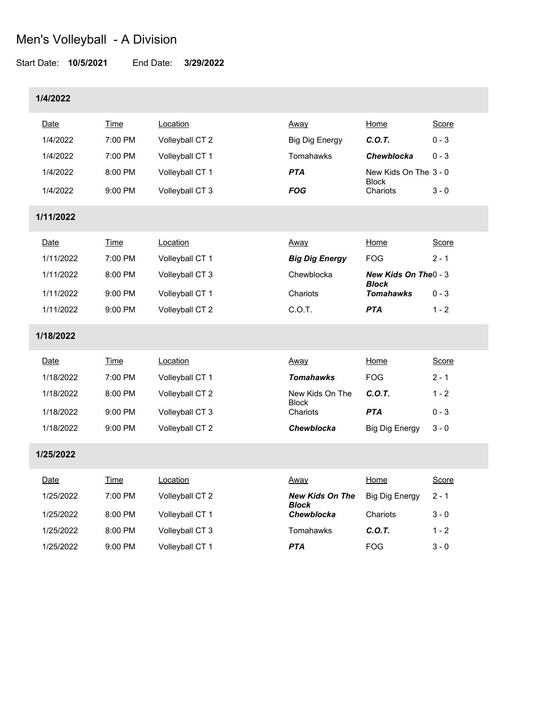#### Start Date: **10/5/2021** End Date: **3/29/2022**

### **1/4/2022**

| Date      | Time        | Location        | Away                       | Home                                       | Score   |
|-----------|-------------|-----------------|----------------------------|--------------------------------------------|---------|
| 1/4/2022  | 7:00 PM     | Volleyball CT 2 | <b>Big Dig Energy</b>      | C.O.T.                                     | $0 - 3$ |
| 1/4/2022  | 7:00 PM     | Volleyball CT 1 | Tomahawks                  | Chewblocka                                 | $0 - 3$ |
| 1/4/2022  | 8:00 PM     | Volleyball CT 1 | <b>PTA</b>                 | New Kids On The 3 - 0                      |         |
| 1/4/2022  | 9:00 PM     | Volleyball CT 3 | <b>FOG</b>                 | <b>Block</b><br>Chariots                   | $3 - 0$ |
| 1/11/2022 |             |                 |                            |                                            |         |
| Date      | <b>Time</b> | Location        | Away                       | Home                                       | Score   |
| 1/11/2022 | 7:00 PM     | Volleyball CT 1 | <b>Big Dig Energy</b>      | <b>FOG</b>                                 | $2 - 1$ |
| 1/11/2022 | 8:00 PM     | Volleyball CT 3 | Chewblocka                 | <b>New Kids On The - 3</b><br><b>Block</b> |         |
| 1/11/2022 | 9:00 PM     | Volleyball CT 1 | Chariots                   | <b>Tomahawks</b>                           | $0 - 3$ |
| 1/11/2022 | 9:00 PM     | Volleyball CT 2 | C.O.T.                     | <b>PTA</b>                                 | $1 - 2$ |
| 1/18/2022 |             |                 |                            |                                            |         |
| Date      | Time        | Location        | Away                       | Home                                       | Score   |
| 1/18/2022 | 7:00 PM     | Volleyball CT 1 | <b>Tomahawks</b>           | <b>FOG</b>                                 | $2 - 1$ |
| 1/18/2022 | 8:00 PM     | Volleyball CT 2 | New Kids On The            | C.O.T.                                     | $1 - 2$ |
| 1/18/2022 | 9:00 PM     | Volleyball CT 3 | <b>Block</b><br>Chariots   | <b>PTA</b>                                 | $0 - 3$ |
| 1/18/2022 | 9:00 PM     | Volleyball CT 2 | Chewblocka                 | <b>Big Dig Energy</b>                      | $3 - 0$ |
| 1/25/2022 |             |                 |                            |                                            |         |
| Date      | <b>Time</b> | Location        | Away                       | Home                                       | Score   |
| 1/25/2022 | 7:00 PM     | Volleyball CT 2 | <b>New Kids On The</b>     | <b>Big Dig Energy</b>                      | $2 - 1$ |
| 1/25/2022 | 8:00 PM     | Volleyball CT 1 | <b>Block</b><br>Chewblocka | Chariots                                   | $3 - 0$ |
| 1/25/2022 | 8:00 PM     | Volleyball CT 3 | Tomahawks                  | C.O.T.                                     | $1 - 2$ |

1/25/2022 9:00 PM Volleyball CT 1 *PTA* FOG 3 - 0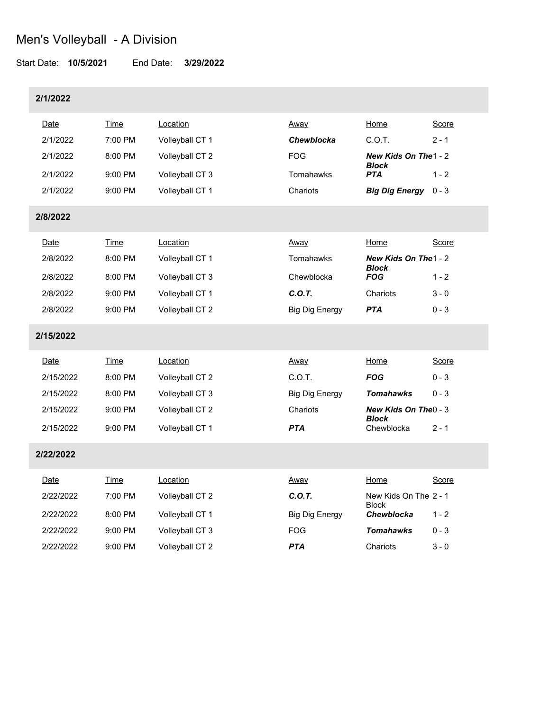#### Start Date: **10/5/2021** End Date: **3/29/2022**

### **2/1/2022**

| Date        | Time        | Location        | Away                  | Home                                  | Score        |
|-------------|-------------|-----------------|-----------------------|---------------------------------------|--------------|
| 2/1/2022    | 7:00 PM     | Volleyball CT 1 | <b>Chewblocka</b>     | C.O.T.                                | $2 - 1$      |
| 2/1/2022    | 8:00 PM     | Volleyball CT 2 | <b>FOG</b>            | New Kids On The 1 - 2<br><b>Block</b> |              |
| 2/1/2022    | 9:00 PM     | Volleyball CT 3 | Tomahawks             | <b>PTA</b>                            | $1 - 2$      |
| 2/1/2022    | 9:00 PM     | Volleyball CT 1 | Chariots              | <b>Big Dig Energy</b>                 | $0 - 3$      |
| 2/8/2022    |             |                 |                       |                                       |              |
| Date        | <b>Time</b> | Location        | Away                  | Home                                  | Score        |
| 2/8/2022    | 8:00 PM     | Volleyball CT 1 | Tomahawks             | New Kids On The 1 - 2<br><b>Block</b> |              |
| 2/8/2022    | 8:00 PM     | Volleyball CT 3 | Chewblocka            | <b>FOG</b>                            | $1 - 2$      |
| 2/8/2022    | 9:00 PM     | Volleyball CT 1 | C.O.T.                | Chariots                              | $3 - 0$      |
| 2/8/2022    | 9:00 PM     | Volleyball CT 2 | <b>Big Dig Energy</b> | <b>PTA</b>                            | $0 - 3$      |
| 2/15/2022   |             |                 |                       |                                       |              |
| Date        | Time        | Location        | Away                  | Home                                  | Score        |
| 2/15/2022   | 8:00 PM     | Volleyball CT 2 | C.O.T.                | <b>FOG</b>                            | $0 - 3$      |
| 2/15/2022   | 8:00 PM     | Volleyball CT 3 | <b>Big Dig Energy</b> | <b>Tomahawks</b>                      | $0 - 3$      |
| 2/15/2022   | 9:00 PM     | Volleyball CT 2 | Chariots              | New Kids On The 0 - 3<br><b>Block</b> |              |
| 2/15/2022   | $9:00$ PM   | Volleyball CT 1 | <b>PTA</b>            | Chewblocka                            | $2 - 1$      |
| 2/22/2022   |             |                 |                       |                                       |              |
| <u>Date</u> | <u>Time</u> | Location        | <u>Away</u>           | Home                                  | <b>Score</b> |
| 2/22/2022   | 7:00 PM     | Volleyball CT 2 | C.O.T.                | New Kids On The 2 - 1<br><b>Block</b> |              |
| 2/22/2022   | 8:00 PM     | Volleyball CT 1 | <b>Big Dig Energy</b> | <b>Chewblocka</b>                     | $1 - 2$      |
| 2/22/2022   | 9:00 PM     | Volleyball CT 3 | <b>FOG</b>            | <b>Tomahawks</b>                      | $0 - 3$      |
| 2/22/2022   | 9:00 PM     | Volleyball CT 2 | <b>PTA</b>            | Chariots                              | $3 - 0$      |